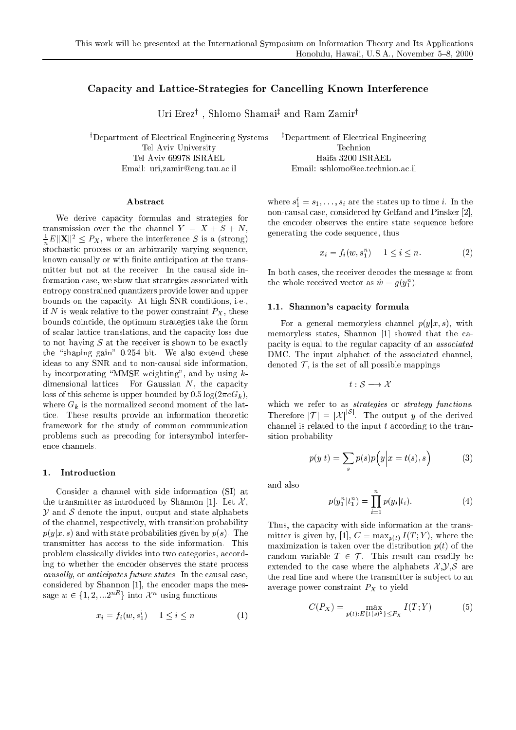# Capacity and Lattice-Strategies for Cancelling Known Interference

Uri Erez<sup>†</sup>, Shlomo Shamai<sup>‡</sup> and Ram Zamir<sup>†</sup>

<sup>†</sup>Department of Electrical Engineering-Systems Tel Aviv University Tel Aviv 69978 ISRAEL Email: uri,zamir@eng.tau.ac.il

Abstract

We derive capacity formulas and strategies for transmission over the the channel  $Y = X + S + N$ ,  $\frac{1}{n}E\|\mathbf{X}\|^2 \leq P_X$ , where the interference S is a (strong) stochastic process or an arbitrarily varying sequence, known causally or with finite anticipation at the transmitter but not at the receiver. In the causal side information case, we show that strategies associated with entropy constrained quantizers provide lower and upper bounds on the capacity. At high SNR conditions, i.e., if N is weak relative to the power constraint  $P_X$ , these bounds coincide, the optimum strategies take the form of scalar lattice translations, and the capacity loss due to not having  $S$  at the receiver is shown to be exactly the "shaping gain" 0.254 bit. We also extend these ideas to any SNR and to non-causal side information, by incorporating "MMSE weighting", and by using  $k$ dimensional lattices. For Gaussian  $N$ , the capacity loss of this scheme is upper bounded by  $0.5 \log(2 \pi e G_k)$ , where  $G_k$  is the normalized second moment of the lattice. These results provide an information theoretic framework for the study of common communication problems such as precoding for intersymbol interference channels.

#### 1. Introduction

Consider a channel with side information (SI) at the transmitter as introduced by Shannon [1]. Let  $\mathcal{X}$ ,  $\mathcal Y$  and  $\mathcal S$  denote the input, output and state alphabets of the channel, respectively, with transition probability  $p(y|x, s)$  and with state probabilities given by  $p(s)$ . The transmitter has access to the side information. This problem classically divides into two categories, according to whether the encoder observes the state process causally, or anticipates future states. In the causal case, considered by Shannon [1], the encoder maps the message  $w \in \{1, 2, ... 2^{nR}\}\$ into  $\mathcal{X}^n$  using functions

$$
x_i = f_i(w, s_1^i) \quad 1 \le i \le n \tag{1}
$$

<sup>‡</sup>Department of Electrical Engineering Technion Haifa 3200 ISRAEL Email: sshlomo@ee.technion.ac.il

where  $s_1^i = s_1, \ldots, s_i$  are the states up to time *i*. In the non-causal case, considered by Gelfand and Pinsker [2], the encoder observes the entire state sequence before generating the code sequence, thus

$$
x_i = f_i(w, s_1^n) \quad 1 \le i \le n. \tag{2}
$$

In both cases, the receiver decodes the message  $w$  from the whole received vector as  $\hat{w} = g(y_1^n)$ .

## 1.1. Shannon's capacity formula

For a general memoryless channel  $p(y|x,s)$ , with memoryless states, Shannon [1] showed that the capacity is equal to the regular capacity of an *associated* DMC. The input alphabet of the associated channel, denoted  $\mathcal T$ , is the set of all possible mappings

$$
t:\mathcal{S}\longrightarrow\mathcal{X}
$$

which we refer to as *strategies* or *strategy functions*.<br>Therefore  $|\mathcal{T}| = |\mathcal{X}|^{|S|}$ . The output y of the derived channel is related to the input  $t$  according to the transition probability

$$
p(y|t) = \sum_{s} p(s)p(y|x = t(s), s)
$$
 (3)

and also

$$
p(y_1^n|t_1^n) = \prod_{i=1}^n p(y_i|t_i).
$$
 (4)

Thus, the capacity with side information at the transmitter is given by, [1],  $C = \max_{p(t)} I(T;Y)$ , where the maximization is taken over the distribution  $p(t)$  of the random variable  $T \in \mathcal{T}$ . This result can readily be extended to the case where the alphabets  $\mathcal{X}, \mathcal{Y}, \mathcal{S}$  are the real line and where the transmitter is subject to an average power constraint  $P_X$  to yield

$$
C(P_X) = \max_{p(t):E\{t(s)^2\} \le P_X} I(T;Y)
$$
 (5)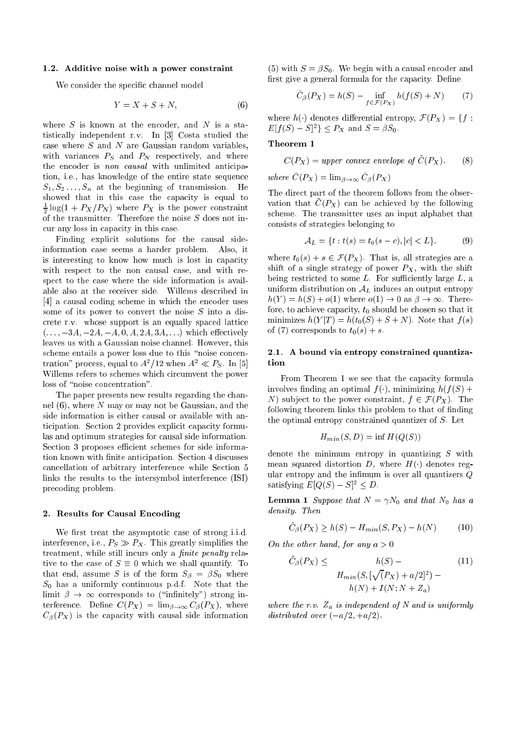## 1.2. Additive noise with a power constraint

We consider the specific channel model

$$
Y = X + S + N,\t(6)
$$

where  $S$  is known at the encoder, and  $N$  is a statistically independent r.v. In [3] Costa studied the case where  $S$  and  $N$  are Gaussian random variables, with variances  $P_S$  and  $P_N$  respectively, and where the encoder is non causal with unlimited anticipation, i.e., has knowledge of the entire state sequence  $S_1, S_2, \ldots, S_n$  at the beginning of transmission. He showed that in this case the capacity is equal to  $\frac{1}{2} \log(1 + P_X/P_N)$  where  $P_X$  is the power constraint of the transmitter. Therefore the noise  $S$  does not incur any loss in capacity in this case.

Finding explicit solutions for the causal sideinformation case seems a harder problem. Also, it is interesting to know how much is lost in capacity with respect to the non causal case, and with respect to the case where the side information is available also at the receiver side. Willems described in [4] a causal coding scheme in which the encoder uses some of its power to convert the noise  $S$  into a discrete r.v. whose support is an equally spaced lattice  $(...,-3A,-2A,-A,0,A,2A,3A,...)$  which effectively leaves us with a Gaussian noise channel. However, this scheme entails a power loss due to this "noise concentration" process, equal to  $A^2/12$  when  $A^2 \ll P_S$ . In [5] Willems refers to schemes which circumvent the power loss of "noise concentration".

The paper presents new results regarding the channel  $(6)$ , where N may or may not be Gaussian, and the side information is either causal or available with anticipation. Section 2 provides explicit capacity formulas and optimum strategies for causal side information. Section 3 proposes efficient schemes for side information known with finite anticipation. Section 4 discusses cancellation of arbitrary interference while Section 5 links the results to the intersymbol interference (ISI) precoding problem.

#### 2. Results for Causal Encoding

We first treat the asymptotic case of strong i.i.d. interference, i.e.,  $P_S \gg P_X$ . This greatly simplifies the treatment, while still incurs only a *finite penalty* relative to the case of  $S \equiv 0$  which we shall quantify. To that end, assume S is of the form  $S_{\beta} = \beta S_0$  where  $S_0$  has a uniformly continuous p.d.f. Note that the limit  $\beta \to \infty$  corresponds to ("infinitely") strong interference. Define  $C(P_X) = \lim_{\beta \to \infty} C_{\beta}(P_X)$ , where  $C_{\beta}(P_X)$  is the capacity with causal side information

(5) with  $S = \beta S_0$ . We begin with a causal encoder and first give a general formula for the capacity. Define

$$
\tilde{C}_{\beta}(P_X) = h(S) - \inf_{f \in \mathcal{F}(P_X)} h(f(S) + N) \tag{7}
$$

where  $h(\cdot)$  denotes differential entropy,  $\mathcal{F}(P_X) = \{f :$  $E[f(S) - S]^2$   $\leq P_X$  and  $S = \beta S_0$ .

## Theorem 1

$$
C(P_X) = upper
$$
 convex envelope of  $\hat{C}(P_X)$ . (8)

where  $\tilde{C}(P_X) = \lim_{\beta \to \infty} \tilde{C}_{\beta}(P_X)$ 

The direct part of the theorem follows from the observation that  $\ddot{C}(P_X)$  can be achieved by the following scheme. The transmitter uses an input alphabet that consists of strategies belonging to

$$
\mathcal{A}_L = \{ t : t(s) = t_0(s - c), |c| < L \}.\tag{9}
$$

where  $t_0(s) + s \in \mathcal{F}(P_X)$ . That is, all strategies are a shift of a single strategy of power  $P_X$ , with the shift being restricted to some  $L$ . For sufficiently large  $L$ , a uniform distribution on  $A_L$  induces an output entropy  $h(Y) = h(S) + o(1)$  where  $o(1) \rightarrow 0$  as  $\beta \rightarrow \infty$ . Therefore, to achieve capacity,  $t_0$  should be chosen so that it minimizes  $h(Y|T) = h(t_0(S) + S + N)$ . Note that  $f(s)$ of (7) corresponds to  $t_0(s) + s$ .

## 2.1. A bound via entropy constrained quantization

From Theorem 1 we see that the capacity formula involves finding an optimal  $f(.)$ , minimizing  $h(f(S) +$ N) subject to the power constraint,  $f \in \mathcal{F}(P_X)$ . The following theorem links this problem to that of finding the optimal entropy constrained quantizer of  $S$ . Let

$$
H_{min}(S, D) = \inf H(Q(S))
$$

denote the minimum entropy in quantizing  $S$  with mean squared distortion D, where  $H(\cdot)$  denotes regular entropy and the infimum is over all quantizers  $Q$ satisfying  $E[Q(S) - S]^2 \leq D$ .

**Lemma 1** Suppose that  $N = \gamma N_0$  and that  $N_0$  has a density. Then

$$
\tilde{C}_{\beta}(P_X) \ge h(S) - H_{min}(S, P_X) - h(N) \tag{10}
$$

the other hand, for any 
$$
a > 0
$$

 $On$ 

$$
\tilde{C}_{\beta}(P_X) \leq \qquad \qquad h(S) - \qquad (11)
$$
\n
$$
H_{min}(S, [\sqrt{P_X}) + a/2]^2) -
$$
\n
$$
h(N) + I(N; N + Z_a)
$$

where the r.v.  $Z_a$  is independent of N and is uniformly distributed over  $(-a/2, +a/2)$ .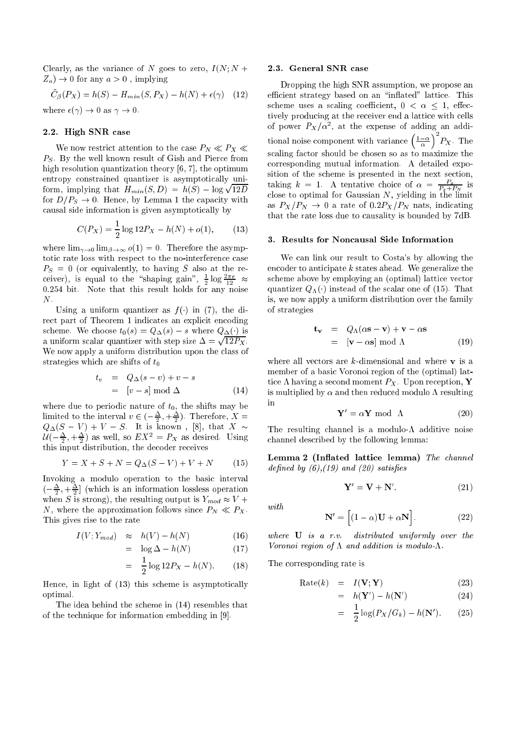Clearly, as the variance of N goes to zero,  $I(N; N +$  $Z_a$ )  $\rightarrow$  0 for any  $a > 0$ , implying

$$
\tilde{C}_{\beta}(P_X) = h(S) - H_{min}(S, P_X) - h(N) + \epsilon(\gamma) \quad (12)
$$

where  $\epsilon(\gamma) \to 0$  as  $\gamma \to 0$ .

## 2.2. High SNR ase

We now restrict attention to the case  $P_N \ll P_X \ll$  $P<sub>S</sub>$ . By the well known result of Gish and Pierce from high resolution quantization theory  $[6, 7]$ , the optimum entropy onstrained quantizer is asymptoti
ally uniform, implying that  $H_{min}(S, D) = h(S) - \log \sqrt{12D}$ for  $D/P_s \to 0$ . Hence, by Lemma 1 the capacity with ausal side information is given asymptoti
ally by

$$
C(P_X) = \frac{1}{2}\log 12P_X - h(N) + o(1), \qquad (13)
$$

where  $\lim_{\gamma\to 0} \lim_{\beta\to\infty} o(1) = 0$ . Therefore the asymptotic rate loss with respect to the no-interference case  $P_S = 0$  (or equivalently, to having S also at the receiver), is equal to the shaping gain,  $\frac{1}{2} \log \frac{2e}{12} \approx$ 0:254 bit. Note that this result holds for any noise N.

Using a uniform quantizer as  $f(\cdot)$  in (7), the direct part of Theorem 1 indicates an explicit encoding scheme. We choose  $t_0(s) = Q_{\Delta}(s) - s$  where  $Q_{\Delta}(\cdot)$  is a uniform scalar quantizer with step size  $\Delta = \sqrt{12P_X}$ . We now apply a uniform distribution upon the lass of strategies which are shifts of  $t_0$ 

$$
t_v = Q_{\Delta}(s - v) + v - s
$$
  
=  $[v - s] \mod \Delta$  (14)

limited to the interval  $v \in (-\frac{\Delta}{2}, +\frac{\Delta}{2})$ . Therefore,  $X =$  $Q_{\Delta}(S - V) + V - S$ . It is known, [8], that X ~  $U(-\frac{1}{2}, +\frac{1}{2})$  as well, so  $E A^{\dagger} = F X$  as desired. Using this input distribution, the de
oder re
eives

$$
Y = X + S + N = Q_{\Delta}(S - V) + V + N \tag{15}
$$

Invoking a modulo operation to the basi interval  $\{\pm, \pm, \mp\}$  (which is an information lossless operation when  $\mathcal{S}$  is the resulting output is  $\mathcal{S}$  is  $\mathcal{S}$  . The resulting output is  $\mathcal{S}$ N, where the approximation follows since  $P_N \ll P_X$ . This gives rise to the rate

$$
I(V; Y_{mod}) \approx h(V) - h(N) \tag{16}
$$

$$
= \log \Delta - h(N) \tag{17}
$$

$$
= \frac{1}{2}\log 12P_X - h(N). \tag{18}
$$

Hence, in light of  $(13)$  this scheme is asymptotically optimal.

The idea behind the s
heme in (14) resembles that of the technique for information embedding in [9].

## 2.3. General SNR ase

Dropping the high SNR assumption, we propose an efficient strategy based on an "inflated" lattice. This scheme uses a scaling coefficient,  $0 < \alpha \leq 1$ , effectively producing at the receiver end a lattice with cells of power  $r_{X}/\alpha$ -, at the expense of adding an additional noise component with variance  $\left(\frac{1-\alpha}{\alpha}\right)$ 2 - <u>A</u> . <del>- .</del> s
aling fa
tor should be hosen so as to maximize the orresponding mutual information. A detailed exposition of the scheme is presented in the next section, taking  $\kappa = 1$ . A tentative choice of  $\alpha = \frac{1}{p}$  is  $-0$ lose to optimal for Gaussian N, yielding in the limit of the limit of the limit of the limit of the limit of th as  $P_X/P_N \rightarrow 0$  a rate of  $0.2P_X/P_N$  nats, indicating that the rate loss due to ausality is bounded by 7dB.

### 3. Results for Non
ausal Side Information

We can link our result to Costa's by allowing the encoder to anticipate  $k$  states ahead. We generalize the s
heme above by employing an (optimal) latti
e ve
tor quantizer  $Q_{\Lambda}(\cdot)$  instead of the scalar one of (15). That is, we now apply a uniform distribution over the family of strategies

$$
\mathbf{t}_{\mathbf{v}} = Q_{\Lambda}(\alpha \mathbf{s} - \mathbf{v}) + \mathbf{v} - \alpha \mathbf{s}
$$
  
= 
$$
[\mathbf{v} - \alpha \mathbf{s}] \mod \Lambda
$$
 (19)

where all vectors are  $k$ -dimensional and where  $v$  is a member of a basi Voronoi region of the (optimal) lattice  $\Lambda$  having a second moment  $P_X$ . Upon reception, Y is multiplied by  $\alpha$  and then reduced modulo  $\Lambda$  resulting in

$$
\mathbf{Y}' = \alpha \mathbf{Y} \text{ mod } \Lambda \tag{20}
$$

The resulting channel is a modulo- $\Lambda$  additive noise hannel des
ribed by the following lemma:

Lemma 2 (Inflated lattice lemma) The channel defined by  $(6)$ ,  $(19)$  and  $(20)$  satisfies

$$
\mathbf{Y}' = \mathbf{V} + \mathbf{N}'.\tag{21}
$$

with

$$
\mathbf{N}' = \left[ (1 - \alpha)\mathbf{U} + \alpha \mathbf{N} \right]. \tag{22}
$$

where U is <sup>a</sup> r.v. distributed uniformly over the Voronoi region of  $\Lambda$  and addition is modulo- $\Lambda$ .

The orresponding rate is

$$
Rate(k) = I(V; Y)
$$
 (23)

$$
= h(\mathbf{Y}') - h(\mathbf{N}') \tag{24}
$$

$$
= \frac{1}{2}\log(P_X/G_k) - h(\mathbf{N}'). \tag{25}
$$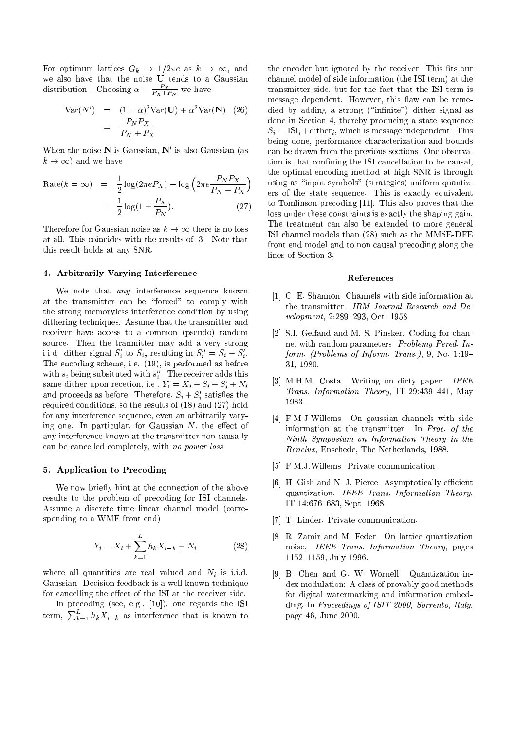For optimum lattices  $G_k \to 1/2\pi e$  as  $k \to \infty$ , and we also have that the noise U tends to a Gaussian distribution. Choosing  $\alpha = \frac{P}{P_X + P_N}$  we have

$$
Var(N') = (1 - \alpha)^2 Var(U) + \alpha^2 Var(N) \quad (26)
$$

$$
= \frac{P_N P_X}{P_N + P_X}
$$

When the noise **N** is Gaussian, N is also Gaussian (as  $k \to \infty$  and we have

$$
\begin{aligned} \text{Rate}(k = \infty) &= \frac{1}{2} \log(2\pi e P_X) - \log\left(2\pi e \frac{P_N P_X}{P_N + P_X}\right) \\ &= \frac{1}{2} \log(1 + \frac{P_X}{P_N}). \end{aligned} \tag{27}
$$

Therefore for Gaussian noise as  $k \to \infty$  there is no loss at all. This coincides with the results of [3]. Note that this result holds at any SNR.

## 4. Arbitrarily Varying Interferen
e

We note that *any* interference sequence known at the transmitter can be "forced" to comply with the strong memoryless interferen
e ondition by using dithering techniques. Assume that the transmitter and receiver have access to a common (pseudo) random sour
e. Then the tranmitter may add a very strong i.i.d. dither signal  $S_i$  to  $S_i$ , resulting in  $S_i = S_i + S_i$ . The encoding scheme, i.e.  $(19)$ , is performed as before with  $s_i$  being subsituted with  $s_i$ . The receiver adds this same dither upon recetion, i.e.,  $r_i = \Lambda_i + \Lambda_i + \Lambda_i + iV_i$ and proceeds as before. Therefore,  $S_i + S_j$  satisfies the required onditions, so the results of (18) and (27) hold for any interferen
e sequen
e, even an arbitrarily varying one. In particular, for Gaussian  $N$ , the effect of any interferen
e known at the transmitter non ausally can be cancelled completely, with no power loss.

## 5. Appli
ation to Pre
oding

We now briefly hint at the connection of the above results to the problem of precoding for ISI channels. Assume a discrete time linear channel model (corresponding to a WMF front end)

$$
Y_i = X_i + \sum_{k=1}^{L} h_k X_{i-k} + N_i
$$
 (28)

where all quantities are real valued and  $N_i$  is i.i.d. Gaussian. Decision feedback is a well known technique for cancelling the effect of the ISI at the receiver side.

In precoding (see, e.g.,  $[10]$ ), one regards the ISI term,  $\sum_{k=1}^{L} h_k X_{i-k}$  as interference that is known to

the encoder but ignored by the receiver. This fits our hannel model of side information (the ISI term) at the transmitter side, but for the fact that the ISI term is message dependent. However, this flaw can be remedied by adding a strong ("infinite") dither signal as done in Section 4, thereby producing a state sequence  $S_i = \text{ISI}_i + \text{dither}_i$ , which is message independent. This being done, performan
e hara
terization and bounds an be drawn from the previous se
tions. One observation is that confining the ISI cancellation to be causal, the optimal en
oding method at high SNR is through using as "input symbols" (strategies) uniform quantizers of the state sequen
e. This is exa
tly equivalent to Tomlinson precoding [11]. This also proves that the loss under these onstraints is exa
tly the shaping gain. The treatment can also be extended to more general ISI hannel models than (28) su
h as the MMSE-DFE front end model and to non causal precoding along the lines of Section 3.

#### Referen
es

- [1] C. E. Shannon. Channels with side information at the transmitter. IBM Journal Resear
h and Development, 2:289-293, Oct. 1958.
- [2] S.I. Gelfand and M. S. Pinsker. Coding for channel with random parameters. Problemy Pered. In $form.$  (Problems of Inform. Trans.), 9, No. 1:19-31, 1980.
- [3] M.H.M. Costa. Writing on dirty paper. IEEE Trans. Information Theory, IT-29:439-441, May 1983.
- [4] F.M.J.Willems. On gaussian channels with side information at the transmitter. In Proc. of the Ninth Symposium on Information Theory in the Benelux, Ens
hede, The Netherlands, 1988.
- [5] F.M.J.Willems. Private communication.
- [6] H. Gish and N. J. Pierce. Asymptotically efficient quantization. IEEE Trans. Information Theory, IT-14:676-683, Sept. 1968.
- [7] T. Linder. Private communication.
- [8] R. Zamir and M. Feder. On lattice quantization noise. IEEE Trans. Information Theory, pages 1152-1159, July 1996.
- [9] B. Chen and G. W. Wornell. Quantization index modulation: A lass of provably good methods for digital watermarking and information embedding. In Proceedings of ISIT 2000, Sorrento, Italy, page 46, June 2000.